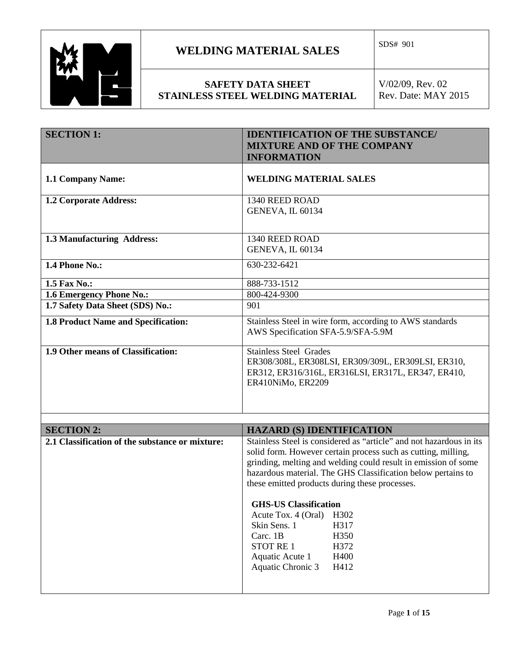

### **SAFETY DATA SHEET STAINLESS STEEL WELDING MATERIAL**

| <b>SECTION 1:</b>                               | <b>IDENTIFICATION OF THE SUBSTANCE/</b><br><b>MIXTURE AND OF THE COMPANY</b><br><b>INFORMATION</b>                                                                                                                                                                                                                                                                                                                                                                                                                     |  |  |
|-------------------------------------------------|------------------------------------------------------------------------------------------------------------------------------------------------------------------------------------------------------------------------------------------------------------------------------------------------------------------------------------------------------------------------------------------------------------------------------------------------------------------------------------------------------------------------|--|--|
| 1.1 Company Name:                               | <b>WELDING MATERIAL SALES</b>                                                                                                                                                                                                                                                                                                                                                                                                                                                                                          |  |  |
| 1.2 Corporate Address:                          | 1340 REED ROAD<br><b>GENEVA, IL 60134</b>                                                                                                                                                                                                                                                                                                                                                                                                                                                                              |  |  |
| 1.3 Manufacturing Address:                      | 1340 REED ROAD<br>GENEVA, IL 60134                                                                                                                                                                                                                                                                                                                                                                                                                                                                                     |  |  |
| 1.4 Phone No.:                                  | 630-232-6421                                                                                                                                                                                                                                                                                                                                                                                                                                                                                                           |  |  |
| 1.5 Fax No.:                                    | 888-733-1512                                                                                                                                                                                                                                                                                                                                                                                                                                                                                                           |  |  |
| 1.6 Emergency Phone No.:                        | 800-424-9300                                                                                                                                                                                                                                                                                                                                                                                                                                                                                                           |  |  |
| 1.7 Safety Data Sheet (SDS) No.:                | 901                                                                                                                                                                                                                                                                                                                                                                                                                                                                                                                    |  |  |
| <b>1.8 Product Name and Specification:</b>      | Stainless Steel in wire form, according to AWS standards<br>AWS Specification SFA-5.9/SFA-5.9M                                                                                                                                                                                                                                                                                                                                                                                                                         |  |  |
| 1.9 Other means of Classification:              | <b>Stainless Steel Grades</b><br>ER308/308L, ER308LSI, ER309/309L, ER309LSI, ER310,<br>ER312, ER316/316L, ER316LSI, ER317L, ER347, ER410,<br>ER410NiMo, ER2209                                                                                                                                                                                                                                                                                                                                                         |  |  |
|                                                 |                                                                                                                                                                                                                                                                                                                                                                                                                                                                                                                        |  |  |
| <b>SECTION 2:</b>                               | <b>HAZARD (S) IDENTIFICATION</b>                                                                                                                                                                                                                                                                                                                                                                                                                                                                                       |  |  |
| 2.1 Classification of the substance or mixture: | Stainless Steel is considered as "article" and not hazardous in its<br>solid form. However certain process such as cutting, milling,<br>grinding, melting and welding could result in emission of some<br>hazardous material. The GHS Classification below pertains to<br>these emitted products during these processes.<br><b>GHS-US Classification</b><br>Acute Tox. 4 (Oral)<br>H302<br>Skin Sens. 1<br>H317<br>Carc. 1B<br>H350<br><b>STOT RE1</b><br>H372<br>Aquatic Acute 1<br>H400<br>Aquatic Chronic 3<br>H412 |  |  |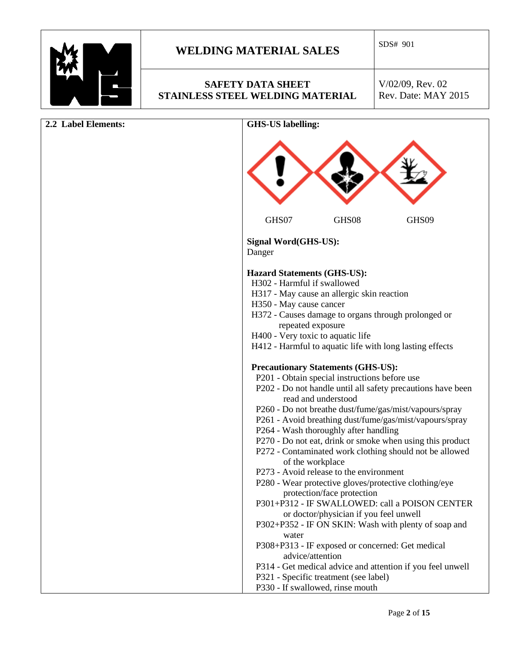

### **SAFETY DATA SHEET STAINLESS STEEL WELDING MATERIAL**

| 2.2 Label Elements: | <b>GHS-US labelling:</b>                                                                                                                                                                                                                                                                                                                                                                                                                                                                   |
|---------------------|--------------------------------------------------------------------------------------------------------------------------------------------------------------------------------------------------------------------------------------------------------------------------------------------------------------------------------------------------------------------------------------------------------------------------------------------------------------------------------------------|
|                     |                                                                                                                                                                                                                                                                                                                                                                                                                                                                                            |
|                     | GHS07<br>GHS08<br>GHS09                                                                                                                                                                                                                                                                                                                                                                                                                                                                    |
|                     | Signal Word(GHS-US):<br>Danger                                                                                                                                                                                                                                                                                                                                                                                                                                                             |
|                     | <b>Hazard Statements (GHS-US):</b><br>H302 - Harmful if swallowed<br>H317 - May cause an allergic skin reaction<br>H350 - May cause cancer<br>H372 - Causes damage to organs through prolonged or<br>repeated exposure<br>H400 - Very toxic to aquatic life<br>H412 - Harmful to aquatic life with long lasting effects                                                                                                                                                                    |
|                     | <b>Precautionary Statements (GHS-US):</b><br>P201 - Obtain special instructions before use<br>P202 - Do not handle until all safety precautions have been<br>read and understood<br>P260 - Do not breathe dust/fume/gas/mist/vapours/spray<br>P261 - Avoid breathing dust/fume/gas/mist/vapours/spray<br>P264 - Wash thoroughly after handling<br>P270 - Do not eat, drink or smoke when using this product<br>P272 - Contaminated work clothing should not be allowed<br>of the workplace |
|                     | P273 - Avoid release to the environment<br>P280 - Wear protective gloves/protective clothing/eye<br>protection/face protection<br>P301+P312 - IF SWALLOWED: call a POISON CENTER<br>or doctor/physician if you feel unwell<br>P302+P352 - IF ON SKIN: Wash with plenty of soap and<br>water<br>P308+P313 - IF exposed or concerned: Get medical                                                                                                                                            |
|                     | advice/attention<br>P314 - Get medical advice and attention if you feel unwell<br>P321 - Specific treatment (see label)<br>P330 - If swallowed, rinse mouth                                                                                                                                                                                                                                                                                                                                |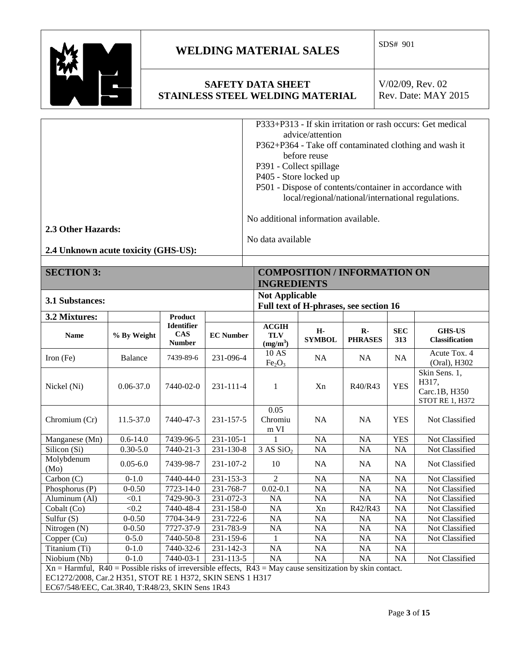

Molybdenum

### **WELDING MATERIAL SALES**  $\begin{array}{|l} \hline \text{SDS# 901} \end{array}$

#### **SAFETY DATA SHEET STAINLESS STEEL WELDING MATERIAL**

V/02/09, Rev. 02 Rev. Date: MAY 2015

|                                      | P333+P313 - If skin irritation or rash occurs: Get medical |
|--------------------------------------|------------------------------------------------------------|
|                                      | advice/attention                                           |
|                                      | P362+P364 - Take off contaminated clothing and wash it     |
|                                      | before reuse                                               |
|                                      | P391 - Collect spillage                                    |
|                                      | P405 - Store locked up                                     |
|                                      | P501 - Dispose of contents/container in accordance with    |
|                                      | local/regional/national/international regulations.         |
|                                      | No additional information available.                       |
| 2.3 Other Hazards:                   |                                                            |
|                                      | No data available                                          |
| 2.4 Unknown acute toxicity (GHS-US): |                                                            |
|                                      |                                                            |

# **SECTION 3: COMPOSITION / INFORMATION ON**

|                        |               |                                           |                                                                 | <b>INGREDIENTS</b>                       |                     |                                |                   |                                                                   |
|------------------------|---------------|-------------------------------------------|-----------------------------------------------------------------|------------------------------------------|---------------------|--------------------------------|-------------------|-------------------------------------------------------------------|
| <b>3.1 Substances:</b> |               |                                           | <b>Not Applicable</b><br>Full text of H-phrases, see section 16 |                                          |                     |                                |                   |                                                                   |
| 3.2 Mixtures:          |               | Product                                   |                                                                 |                                          |                     |                                |                   |                                                                   |
| <b>Name</b>            | % By Weight   | Identifier<br><b>CAS</b><br><b>Number</b> | <b>EC</b> Number                                                | <b>ACGIH</b><br><b>TLV</b><br>$(mg/m^3)$ | Н-<br><b>SYMBOL</b> | $\mathbf{R}$<br><b>PHRASES</b> | <b>SEC</b><br>313 | <b>GHS-US</b><br><b>Classification</b>                            |
| Iron $(Fe)$            | Balance       | 7439-89-6                                 | 231-096-4                                                       | 10 AS<br>Fe <sub>2</sub> O <sub>3</sub>  | NA.                 | NA.                            | <b>NA</b>         | Acute Tox. 4<br>(Oral), H302                                      |
| Nickel (Ni)            | $0.06 - 37.0$ | 7440-02-0                                 | 231-111-4                                                       |                                          | Xn                  | R40/R43                        | <b>YES</b>        | Skin Sens. 1,<br>H317.<br>Carc.1B, H350<br><b>STOT RE 1, H372</b> |
| Chromium (Cr)          | $11.5 - 37.0$ | 7440-47-3                                 | 231-157-5                                                       | 0.05<br>Chromiu<br>m VI                  | NA.                 | NA.                            | <b>YES</b>        | Not Classified                                                    |
| Manganese (Mn)         | $0.6 - 14.0$  | 7439-96-5                                 | $231 - 105 - 1$                                                 |                                          | NA                  | <b>NA</b>                      | <b>YES</b>        | Not Classified                                                    |

Silicon (Si) 0.30-5.0 7440-21-3 231-130-8 3 AS SiO2 NA NA NA Not Classified

(Mo) 0.05-6.0 7439-98-7 231-107-2 10 NA NA NA Not Classified Carbon (C) 0-1.0 7440-44-0 231-153-3 2 NA NA NA Not Classified Phosphorus (P) 0-0.50 7723-14-0 231-768-7 0.02-0.1 NA NA NA Not Classified<br>Aluminum (Al) <0.1 7429-90-3 231-072-3 NA NA NA NA Not Classified

Cobalt (Co) <0.2 7440-48-4 231-158-0 NA Xn R42/R43 NA Not Classified Sulfur (S) 0-0.50 7704-34-9 231-722-6 NA NA NA NA Not Classified Nitrogen (N) 0-0.50 7727-37-9 231-783-9 NA NA NA NA Not Classified

Aluminum (Al)  $\vert$  <0.1  $\vert$  7429-90-3 231-072-3 NA NA NA NA NA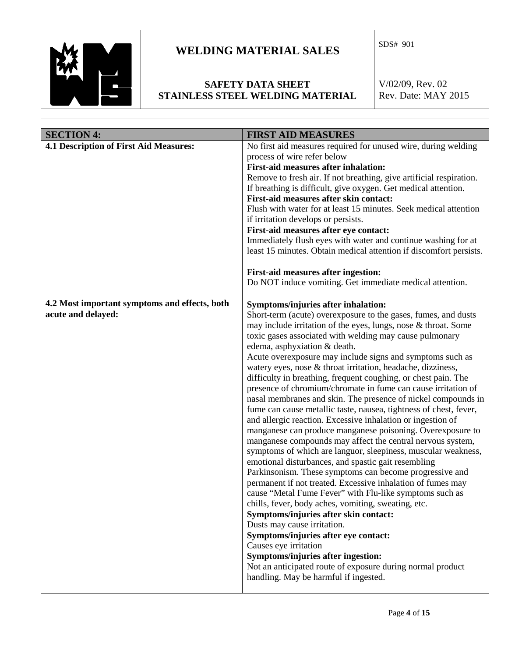

 $\Gamma$ 

## **WELDING MATERIAL SALES**  $\begin{array}{|l} \hline \text{SDS# 901} \end{array}$

### **SAFETY DATA SHEET STAINLESS STEEL WELDING MATERIAL**

| <b>SECTION 4:</b>                                                   | <b>FIRST AID MEASURES</b>                                                                                                                                                                                                                                                                                                                                                                                                                                                                                                                                                                                                                                                                                                                                                                                                                                                                                                                                                                                                                                                                                                                                                                                                                                                                                                                                                                                                                                                                                                    |
|---------------------------------------------------------------------|------------------------------------------------------------------------------------------------------------------------------------------------------------------------------------------------------------------------------------------------------------------------------------------------------------------------------------------------------------------------------------------------------------------------------------------------------------------------------------------------------------------------------------------------------------------------------------------------------------------------------------------------------------------------------------------------------------------------------------------------------------------------------------------------------------------------------------------------------------------------------------------------------------------------------------------------------------------------------------------------------------------------------------------------------------------------------------------------------------------------------------------------------------------------------------------------------------------------------------------------------------------------------------------------------------------------------------------------------------------------------------------------------------------------------------------------------------------------------------------------------------------------------|
| <b>4.1 Description of First Aid Measures:</b>                       | No first aid measures required for unused wire, during welding<br>process of wire refer below<br><b>First-aid measures after inhalation:</b><br>Remove to fresh air. If not breathing, give artificial respiration.<br>If breathing is difficult, give oxygen. Get medical attention.<br>First-aid measures after skin contact:<br>Flush with water for at least 15 minutes. Seek medical attention<br>if irritation develops or persists.<br>First-aid measures after eye contact:<br>Immediately flush eyes with water and continue washing for at<br>least 15 minutes. Obtain medical attention if discomfort persists.<br><b>First-aid measures after ingestion:</b><br>Do NOT induce vomiting. Get immediate medical attention.                                                                                                                                                                                                                                                                                                                                                                                                                                                                                                                                                                                                                                                                                                                                                                                         |
| 4.2 Most important symptoms and effects, both<br>acute and delayed: | Symptoms/injuries after inhalation:<br>Short-term (acute) overexposure to the gases, fumes, and dusts<br>may include irritation of the eyes, lungs, nose & throat. Some<br>toxic gases associated with welding may cause pulmonary<br>edema, asphyxiation & death.<br>Acute overexposure may include signs and symptoms such as<br>watery eyes, nose & throat irritation, headache, dizziness,<br>difficulty in breathing, frequent coughing, or chest pain. The<br>presence of chromium/chromate in fume can cause irritation of<br>nasal membranes and skin. The presence of nickel compounds in<br>fume can cause metallic taste, nausea, tightness of chest, fever,<br>and allergic reaction. Excessive inhalation or ingestion of<br>manganese can produce manganese poisoning. Overexposure to<br>manganese compounds may affect the central nervous system,<br>symptoms of which are languor, sleepiness, muscular weakness,<br>emotional disturbances, and spastic gait resembling<br>Parkinsonism. These symptoms can become progressive and<br>permanent if not treated. Excessive inhalation of fumes may<br>cause "Metal Fume Fever" with Flu-like symptoms such as<br>chills, fever, body aches, vomiting, sweating, etc.<br>Symptoms/injuries after skin contact:<br>Dusts may cause irritation.<br>Symptoms/injuries after eye contact:<br>Causes eye irritation<br>Symptoms/injuries after ingestion:<br>Not an anticipated route of exposure during normal product<br>handling. May be harmful if ingested. |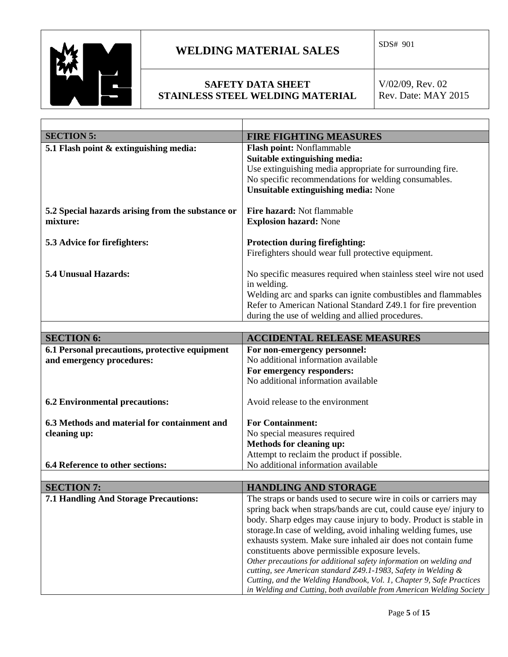

### **SAFETY DATA SHEET STAINLESS STEEL WELDING MATERIAL**

| <b>SECTION 5:</b>                                 | <b>FIRE FIGHTING MEASURES</b>                                                                                         |
|---------------------------------------------------|-----------------------------------------------------------------------------------------------------------------------|
| 5.1 Flash point & extinguishing media:            | Flash point: Nonflammable                                                                                             |
|                                                   | Suitable extinguishing media:                                                                                         |
|                                                   | Use extinguishing media appropriate for surrounding fire.                                                             |
|                                                   | No specific recommendations for welding consumables.                                                                  |
|                                                   | <b>Unsuitable extinguishing media: None</b>                                                                           |
| 5.2 Special hazards arising from the substance or | Fire hazard: Not flammable                                                                                            |
| mixture:                                          | <b>Explosion hazard: None</b>                                                                                         |
|                                                   |                                                                                                                       |
| 5.3 Advice for firefighters:                      | <b>Protection during firefighting:</b>                                                                                |
|                                                   | Firefighters should wear full protective equipment.                                                                   |
|                                                   |                                                                                                                       |
| 5.4 Unusual Hazards:                              | No specific measures required when stainless steel wire not used                                                      |
|                                                   | in welding.                                                                                                           |
|                                                   | Welding arc and sparks can ignite combustibles and flammables                                                         |
|                                                   | Refer to American National Standard Z49.1 for fire prevention                                                         |
|                                                   | during the use of welding and allied procedures.                                                                      |
|                                                   |                                                                                                                       |
| <b>SECTION 6:</b>                                 | <b>ACCIDENTAL RELEASE MEASURES</b>                                                                                    |
| 6.1 Personal precautions, protective equipment    | For non-emergency personnel:                                                                                          |
| and emergency procedures:                         | No additional information available                                                                                   |
|                                                   | For emergency responders:<br>No additional information available                                                      |
|                                                   |                                                                                                                       |
| <b>6.2 Environmental precautions:</b>             | Avoid release to the environment                                                                                      |
|                                                   |                                                                                                                       |
| 6.3 Methods and material for containment and      | <b>For Containment:</b>                                                                                               |
| cleaning up:                                      | No special measures required                                                                                          |
|                                                   | Methods for cleaning up:                                                                                              |
|                                                   | Attempt to reclaim the product if possible.                                                                           |
| 6.4 Reference to other sections:                  | No additional information available                                                                                   |
|                                                   |                                                                                                                       |
| <b>SECTION 7:</b>                                 | <b>HANDLING AND STORAGE</b>                                                                                           |
| 7.1 Handling And Storage Precautions:             | The straps or bands used to secure wire in coils or carriers may                                                      |
|                                                   | spring back when straps/bands are cut, could cause eye/ injury to                                                     |
|                                                   | body. Sharp edges may cause injury to body. Product is stable in                                                      |
|                                                   | storage. In case of welding, avoid inhaling welding fumes, use                                                        |
|                                                   | exhausts system. Make sure inhaled air does not contain fume                                                          |
|                                                   | constituents above permissible exposure levels.<br>Other precautions for additional safety information on welding and |
|                                                   | cutting, see American standard Z49.1-1983, Safety in Welding &                                                        |
|                                                   | Cutting, and the Welding Handbook, Vol. 1, Chapter 9, Safe Practices                                                  |
|                                                   | in Welding and Cutting, both available from American Welding Society                                                  |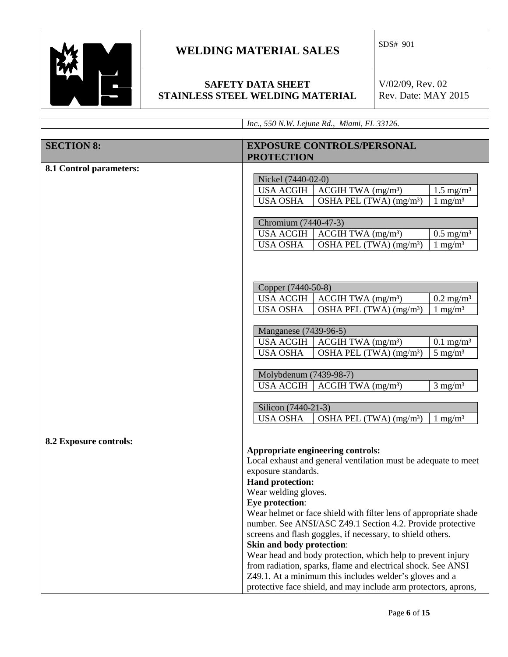

#### **SAFETY DATA SHEET STAINLESS STEEL WELDING MATERIAL**

|                         | Inc., 550 N.W. Lejune Rd., Miami, FL 33126.                                                                             |  |  |  |
|-------------------------|-------------------------------------------------------------------------------------------------------------------------|--|--|--|
|                         |                                                                                                                         |  |  |  |
| <b>SECTION 8:</b>       | <b>EXPOSURE CONTROLS/PERSONAL</b>                                                                                       |  |  |  |
|                         | <b>PROTECTION</b>                                                                                                       |  |  |  |
| 8.1 Control parameters: |                                                                                                                         |  |  |  |
|                         | Nickel (7440-02-0)                                                                                                      |  |  |  |
|                         | <b>USA ACGIH</b><br>ACGIH TWA (mg/m <sup>3</sup> )<br>$1.5 \text{ mg/m}^3$                                              |  |  |  |
|                         | <b>USA OSHA</b><br>OSHA PEL (TWA) (mg/m <sup>3</sup> )<br>$1 \text{ mg/m}^3$                                            |  |  |  |
|                         |                                                                                                                         |  |  |  |
|                         | Chromium (7440-47-3)                                                                                                    |  |  |  |
|                         | <b>USA ACGIH</b><br>ACGIH TWA (mg/m <sup>3</sup> )<br>$0.5 \text{ mg/m}^3$                                              |  |  |  |
|                         | $1 \text{ mg/m}^3$<br>OSHA PEL (TWA) (mg/m <sup>3</sup> )<br><b>USA OSHA</b>                                            |  |  |  |
|                         |                                                                                                                         |  |  |  |
|                         |                                                                                                                         |  |  |  |
|                         |                                                                                                                         |  |  |  |
|                         | Copper (7440-50-8)                                                                                                      |  |  |  |
|                         | <b>USA ACGIH</b><br>$ACGIH TWA$ (mg/m <sup>3</sup> )<br>$0.2 \text{ mg/m}^3$                                            |  |  |  |
|                         | $1 \text{ mg/m}^3$<br><b>USA OSHA</b><br>OSHA PEL (TWA) (mg/m <sup>3</sup> )                                            |  |  |  |
|                         |                                                                                                                         |  |  |  |
|                         | Manganese (7439-96-5)                                                                                                   |  |  |  |
|                         | <b>USA ACGIH</b><br>$ACGIH TWA$ (mg/m <sup>3</sup> )<br>$0.1 \text{ mg/m}^3$                                            |  |  |  |
|                         | <b>USA OSHA</b><br>OSHA PEL $(TWA)$ (mg/m <sup>3</sup> )<br>$5 \text{ mg/m}^3$                                          |  |  |  |
|                         |                                                                                                                         |  |  |  |
|                         | Molybdenum (7439-98-7)                                                                                                  |  |  |  |
|                         | <b>USA ACGIH</b><br>$ACGIH TWA$ (mg/m <sup>3</sup> )<br>$3 \text{ mg/m}^3$                                              |  |  |  |
|                         |                                                                                                                         |  |  |  |
|                         | Silicon (7440-21-3)                                                                                                     |  |  |  |
|                         | <b>USA OSHA</b><br>OSHA PEL $(TWA)$ (mg/m <sup>3</sup> )<br>$1 \text{ mg/m}^3$                                          |  |  |  |
|                         |                                                                                                                         |  |  |  |
| 8.2 Exposure controls:  |                                                                                                                         |  |  |  |
|                         | Appropriate engineering controls:                                                                                       |  |  |  |
|                         | Local exhaust and general ventilation must be adequate to meet                                                          |  |  |  |
|                         | exposure standards.                                                                                                     |  |  |  |
|                         | <b>Hand protection:</b>                                                                                                 |  |  |  |
|                         | Wear welding gloves.                                                                                                    |  |  |  |
|                         | Eye protection:                                                                                                         |  |  |  |
|                         | Wear helmet or face shield with filter lens of appropriate shade                                                        |  |  |  |
|                         | number. See ANSI/ASC Z49.1 Section 4.2. Provide protective                                                              |  |  |  |
|                         | screens and flash goggles, if necessary, to shield others.                                                              |  |  |  |
|                         | Skin and body protection:                                                                                               |  |  |  |
|                         | Wear head and body protection, which help to prevent injury                                                             |  |  |  |
|                         | from radiation, sparks, flame and electrical shock. See ANSI<br>Z49.1. At a minimum this includes welder's gloves and a |  |  |  |
|                         |                                                                                                                         |  |  |  |
|                         | protective face shield, and may include arm protectors, aprons,                                                         |  |  |  |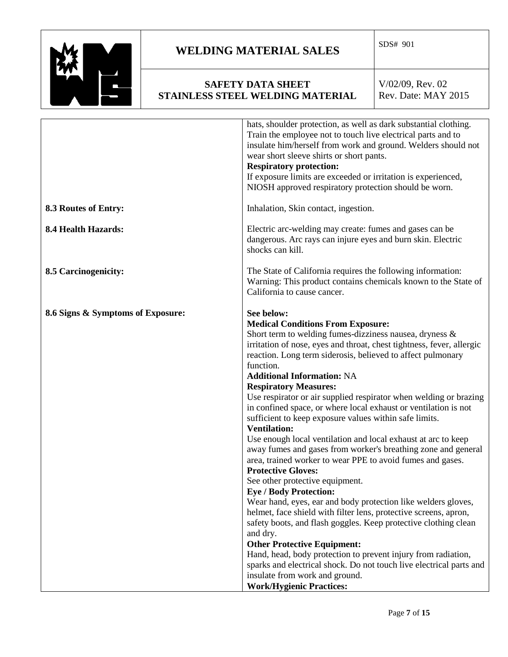

#### **SAFETY DATA SHEET STAINLESS STEEL WELDING MATERIAL**

|                                   | hats, shoulder protection, as well as dark substantial clothing.<br>Train the employee not to touch live electrical parts and to<br>insulate him/herself from work and ground. Welders should not<br>wear short sleeve shirts or short pants.<br><b>Respiratory protection:</b><br>If exposure limits are exceeded or irritation is experienced,<br>NIOSH approved respiratory protection should be worn.                                                                                                                                                                                                                                                                                                                                                                                                                                                                                                                                                                                                                                                                                                                                                                                                                                                                                                                                    |
|-----------------------------------|----------------------------------------------------------------------------------------------------------------------------------------------------------------------------------------------------------------------------------------------------------------------------------------------------------------------------------------------------------------------------------------------------------------------------------------------------------------------------------------------------------------------------------------------------------------------------------------------------------------------------------------------------------------------------------------------------------------------------------------------------------------------------------------------------------------------------------------------------------------------------------------------------------------------------------------------------------------------------------------------------------------------------------------------------------------------------------------------------------------------------------------------------------------------------------------------------------------------------------------------------------------------------------------------------------------------------------------------|
| 8.3 Routes of Entry:              | Inhalation, Skin contact, ingestion.                                                                                                                                                                                                                                                                                                                                                                                                                                                                                                                                                                                                                                                                                                                                                                                                                                                                                                                                                                                                                                                                                                                                                                                                                                                                                                         |
| <b>8.4 Health Hazards:</b>        | Electric arc-welding may create: fumes and gases can be<br>dangerous. Arc rays can injure eyes and burn skin. Electric<br>shocks can kill.                                                                                                                                                                                                                                                                                                                                                                                                                                                                                                                                                                                                                                                                                                                                                                                                                                                                                                                                                                                                                                                                                                                                                                                                   |
| 8.5 Carcinogenicity:              | The State of California requires the following information:<br>Warning: This product contains chemicals known to the State of<br>California to cause cancer.                                                                                                                                                                                                                                                                                                                                                                                                                                                                                                                                                                                                                                                                                                                                                                                                                                                                                                                                                                                                                                                                                                                                                                                 |
| 8.6 Signs & Symptoms of Exposure: | See below:<br><b>Medical Conditions From Exposure:</b><br>Short term to welding fumes-dizziness nausea, dryness &<br>irritation of nose, eyes and throat, chest tightness, fever, allergic<br>reaction. Long term siderosis, believed to affect pulmonary<br>function.<br><b>Additional Information: NA</b><br><b>Respiratory Measures:</b><br>Use respirator or air supplied respirator when welding or brazing<br>in confined space, or where local exhaust or ventilation is not<br>sufficient to keep exposure values within safe limits.<br><b>Ventilation:</b><br>Use enough local ventilation and local exhaust at arc to keep<br>away fumes and gases from worker's breathing zone and general<br>area, trained worker to wear PPE to avoid fumes and gases.<br><b>Protective Gloves:</b><br>See other protective equipment.<br><b>Eye / Body Protection:</b><br>Wear hand, eyes, ear and body protection like welders gloves,<br>helmet, face shield with filter lens, protective screens, apron,<br>safety boots, and flash goggles. Keep protective clothing clean<br>and dry.<br><b>Other Protective Equipment:</b><br>Hand, head, body protection to prevent injury from radiation,<br>sparks and electrical shock. Do not touch live electrical parts and<br>insulate from work and ground.<br><b>Work/Hygienic Practices:</b> |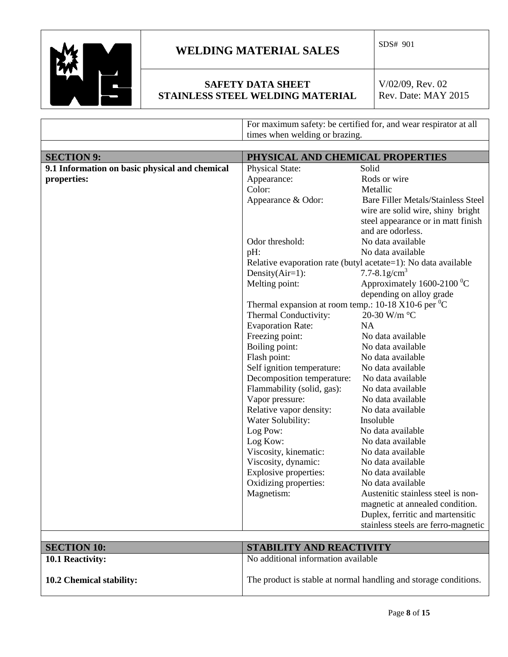

### **SAFETY DATA SHEET STAINLESS STEEL WELDING MATERIAL**

|                                                | For maximum safety: be certified for, and wear respirator at all<br>times when welding or brazing. |                                                                |  |  |
|------------------------------------------------|----------------------------------------------------------------------------------------------------|----------------------------------------------------------------|--|--|
|                                                |                                                                                                    |                                                                |  |  |
|                                                |                                                                                                    |                                                                |  |  |
| <b>SECTION 9:</b>                              | PHYSICAL AND CHEMICAL PROPERTIES                                                                   |                                                                |  |  |
| 9.1 Information on basic physical and chemical | <b>Physical State:</b>                                                                             | Solid                                                          |  |  |
| properties:                                    | Appearance:                                                                                        | Rods or wire                                                   |  |  |
|                                                | Color:                                                                                             | Metallic                                                       |  |  |
|                                                | Appearance & Odor:                                                                                 | <b>Bare Filler Metals/Stainless Steel</b>                      |  |  |
|                                                |                                                                                                    | wire are solid wire, shiny bright                              |  |  |
|                                                |                                                                                                    | steel appearance or in matt finish                             |  |  |
|                                                |                                                                                                    | and are odorless.                                              |  |  |
|                                                | Odor threshold:                                                                                    | No data available                                              |  |  |
|                                                | pH:                                                                                                | No data available                                              |  |  |
|                                                |                                                                                                    | Relative evaporation rate (butyl acetate=1): No data available |  |  |
|                                                | Density $(Air=1)$ :                                                                                | 7.7-8.1g/cm <sup>3</sup>                                       |  |  |
|                                                | Melting point:                                                                                     | Approximately 1600-2100 $^0$ C                                 |  |  |
|                                                |                                                                                                    | depending on alloy grade                                       |  |  |
|                                                | Thermal expansion at room temp.: 10-18 X10-6 per $\mathrm{^{0}C}$                                  |                                                                |  |  |
|                                                | Thermal Conductivity:                                                                              | 20-30 W/m °C                                                   |  |  |
|                                                | <b>Evaporation Rate:</b>                                                                           | <b>NA</b>                                                      |  |  |
|                                                | Freezing point:                                                                                    | No data available                                              |  |  |
|                                                | Boiling point:                                                                                     | No data available<br>No data available                         |  |  |
|                                                | Flash point:                                                                                       |                                                                |  |  |
|                                                | Self ignition temperature:                                                                         | No data available                                              |  |  |
|                                                | Decomposition temperature:                                                                         | No data available                                              |  |  |
|                                                | Flammability (solid, gas):                                                                         | No data available                                              |  |  |
|                                                | Vapor pressure:                                                                                    | No data available                                              |  |  |
|                                                | Relative vapor density:                                                                            | No data available                                              |  |  |
|                                                | Water Solubility:                                                                                  | Insoluble                                                      |  |  |
|                                                | Log Pow:                                                                                           | No data available                                              |  |  |
|                                                | Log Kow:                                                                                           | No data available                                              |  |  |
|                                                | Viscosity, kinematic:                                                                              | No data available                                              |  |  |
|                                                | Viscosity, dynamic:                                                                                | No data available                                              |  |  |
|                                                | <b>Explosive properties:</b>                                                                       | No data available                                              |  |  |
|                                                | Oxidizing properties:                                                                              | No data available                                              |  |  |
|                                                | Magnetism:                                                                                         | Austenitic stainless steel is non-                             |  |  |
|                                                |                                                                                                    | magnetic at annealed condition.                                |  |  |
|                                                |                                                                                                    | Duplex, ferritic and martensitic                               |  |  |
|                                                |                                                                                                    | stainless steels are ferro-magnetic                            |  |  |
|                                                |                                                                                                    |                                                                |  |  |
| <b>SECTION 10:</b>                             | STABILITY AND REACTIVITY                                                                           |                                                                |  |  |
| 10.1 Reactivity:                               | No additional information available                                                                |                                                                |  |  |
|                                                |                                                                                                    |                                                                |  |  |
| 10.2 Chemical stability:                       | The product is stable at normal handling and storage conditions.                                   |                                                                |  |  |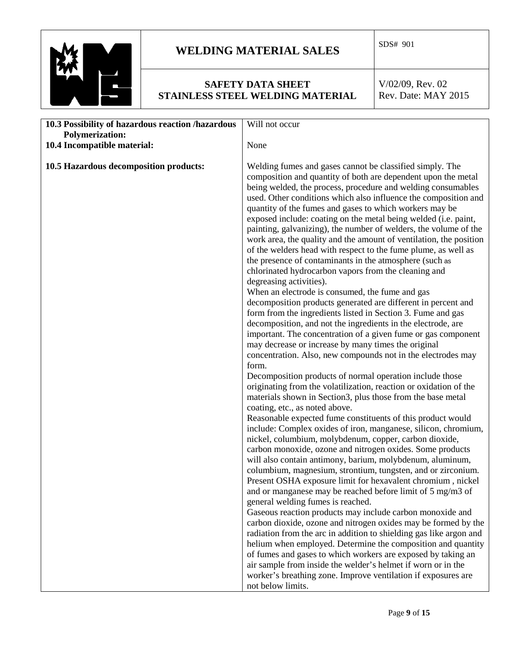

#### **SAFETY DATA SHEET STAINLESS STEEL WELDING MATERIAL**

| 10.3 Possibility of hazardous reaction /hazardous                     | Will not occur                                                                                                                                                                                                                                                                                                                                                                                                                                                                                                                                                                                                                                                                                                                                                                                                                                                                                                                                                                                                                                                                                                                                                                                                                                                                                                                                                                                                                                                                                                                                                                                                                                                                                                                                                                                                                                                                                                                                                                                                                                                         |  |  |
|-----------------------------------------------------------------------|------------------------------------------------------------------------------------------------------------------------------------------------------------------------------------------------------------------------------------------------------------------------------------------------------------------------------------------------------------------------------------------------------------------------------------------------------------------------------------------------------------------------------------------------------------------------------------------------------------------------------------------------------------------------------------------------------------------------------------------------------------------------------------------------------------------------------------------------------------------------------------------------------------------------------------------------------------------------------------------------------------------------------------------------------------------------------------------------------------------------------------------------------------------------------------------------------------------------------------------------------------------------------------------------------------------------------------------------------------------------------------------------------------------------------------------------------------------------------------------------------------------------------------------------------------------------------------------------------------------------------------------------------------------------------------------------------------------------------------------------------------------------------------------------------------------------------------------------------------------------------------------------------------------------------------------------------------------------------------------------------------------------------------------------------------------------|--|--|
| <b>Polymerization:</b>                                                |                                                                                                                                                                                                                                                                                                                                                                                                                                                                                                                                                                                                                                                                                                                                                                                                                                                                                                                                                                                                                                                                                                                                                                                                                                                                                                                                                                                                                                                                                                                                                                                                                                                                                                                                                                                                                                                                                                                                                                                                                                                                        |  |  |
|                                                                       |                                                                                                                                                                                                                                                                                                                                                                                                                                                                                                                                                                                                                                                                                                                                                                                                                                                                                                                                                                                                                                                                                                                                                                                                                                                                                                                                                                                                                                                                                                                                                                                                                                                                                                                                                                                                                                                                                                                                                                                                                                                                        |  |  |
| 10.4 Incompatible material:<br>10.5 Hazardous decomposition products: | None<br>Welding fumes and gases cannot be classified simply. The<br>composition and quantity of both are dependent upon the metal<br>being welded, the process, procedure and welding consumables<br>used. Other conditions which also influence the composition and<br>quantity of the fumes and gases to which workers may be<br>exposed include: coating on the metal being welded (i.e. paint,<br>painting, galvanizing), the number of welders, the volume of the<br>work area, the quality and the amount of ventilation, the position<br>of the welders head with respect to the fume plume, as well as<br>the presence of contaminants in the atmosphere (such as<br>chlorinated hydrocarbon vapors from the cleaning and<br>degreasing activities).<br>When an electrode is consumed, the fume and gas<br>decomposition products generated are different in percent and<br>form from the ingredients listed in Section 3. Fume and gas<br>decomposition, and not the ingredients in the electrode, are<br>important. The concentration of a given fume or gas component<br>may decrease or increase by many times the original<br>concentration. Also, new compounds not in the electrodes may<br>form.<br>Decomposition products of normal operation include those<br>originating from the volatilization, reaction or oxidation of the<br>materials shown in Section3, plus those from the base metal<br>coating, etc., as noted above.<br>Reasonable expected fume constituents of this product would<br>include: Complex oxides of iron, manganese, silicon, chromium,<br>nickel, columbium, molybdenum, copper, carbon dioxide,<br>carbon monoxide, ozone and nitrogen oxides. Some products<br>will also contain antimony, barium, molybdenum, aluminum,<br>columbium, magnesium, strontium, tungsten, and or zirconium.<br>Present OSHA exposure limit for hexavalent chromium, nickel<br>and or manganese may be reached before limit of 5 mg/m3 of<br>general welding fumes is reached.<br>Gaseous reaction products may include carbon monoxide and |  |  |
|                                                                       | carbon dioxide, ozone and nitrogen oxides may be formed by the<br>radiation from the arc in addition to shielding gas like argon and<br>helium when employed. Determine the composition and quantity<br>of fumes and gases to which workers are exposed by taking an<br>air sample from inside the welder's helmet if worn or in the                                                                                                                                                                                                                                                                                                                                                                                                                                                                                                                                                                                                                                                                                                                                                                                                                                                                                                                                                                                                                                                                                                                                                                                                                                                                                                                                                                                                                                                                                                                                                                                                                                                                                                                                   |  |  |
|                                                                       | worker's breathing zone. Improve ventilation if exposures are<br>not below limits.                                                                                                                                                                                                                                                                                                                                                                                                                                                                                                                                                                                                                                                                                                                                                                                                                                                                                                                                                                                                                                                                                                                                                                                                                                                                                                                                                                                                                                                                                                                                                                                                                                                                                                                                                                                                                                                                                                                                                                                     |  |  |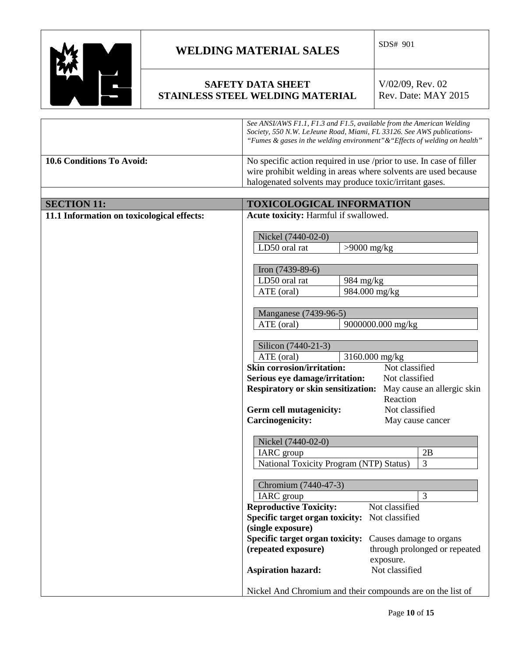

### **SAFETY DATA SHEET STAINLESS STEEL WELDING MATERIAL**

|                                             | See ANSI/AWS F1.1, F1.3 and F1.5, available from the American Welding<br>Society, 550 N.W. LeJeune Road, Miami, FL 33126. See AWS publications-<br>"Fumes & gases in the welding environment" & "Effects of welding on health" |  |  |
|---------------------------------------------|--------------------------------------------------------------------------------------------------------------------------------------------------------------------------------------------------------------------------------|--|--|
| 10.6 Conditions To Avoid:                   | No specific action required in use /prior to use. In case of filler                                                                                                                                                            |  |  |
|                                             | wire prohibit welding in areas where solvents are used because                                                                                                                                                                 |  |  |
|                                             | halogenated solvents may produce toxic/irritant gases.                                                                                                                                                                         |  |  |
|                                             |                                                                                                                                                                                                                                |  |  |
| <b>SECTION 11:</b>                          | <b>TOXICOLOGICAL INFORMATION</b>                                                                                                                                                                                               |  |  |
| 11.1 Information on toxicological effects:  | Acute toxicity: Harmful if swallowed.                                                                                                                                                                                          |  |  |
|                                             | Nickel (7440-02-0)                                                                                                                                                                                                             |  |  |
|                                             | LD50 oral rat<br>$>9000$ mg/kg                                                                                                                                                                                                 |  |  |
|                                             |                                                                                                                                                                                                                                |  |  |
|                                             | Iron $(7439-89-6)$                                                                                                                                                                                                             |  |  |
|                                             | LD50 oral rat<br>984 mg/kg                                                                                                                                                                                                     |  |  |
|                                             | 984.000 mg/kg<br>ATE (oral)                                                                                                                                                                                                    |  |  |
|                                             |                                                                                                                                                                                                                                |  |  |
|                                             | Manganese (7439-96-5)                                                                                                                                                                                                          |  |  |
|                                             | ATE (oral)<br>9000000.000 mg/kg                                                                                                                                                                                                |  |  |
|                                             | Silicon (7440-21-3)                                                                                                                                                                                                            |  |  |
|                                             | ATE (oral)<br>3160.000 mg/kg                                                                                                                                                                                                   |  |  |
|                                             | <b>Skin corrosion/irritation:</b><br>Not classified                                                                                                                                                                            |  |  |
|                                             | Not classified<br>Serious eye damage/irritation:                                                                                                                                                                               |  |  |
|                                             | <b>Respiratory or skin sensitization:</b><br>May cause an allergic skin                                                                                                                                                        |  |  |
|                                             | Reaction                                                                                                                                                                                                                       |  |  |
|                                             | Not classified<br>Germ cell mutagenicity:                                                                                                                                                                                      |  |  |
|                                             | <b>Carcinogenicity:</b><br>May cause cancer                                                                                                                                                                                    |  |  |
|                                             | Nickel (7440-02-0)                                                                                                                                                                                                             |  |  |
|                                             | 2B<br><b>IARC</b> group                                                                                                                                                                                                        |  |  |
|                                             | 3<br>National Toxicity Program (NTP) Status)                                                                                                                                                                                   |  |  |
|                                             |                                                                                                                                                                                                                                |  |  |
|                                             | Chromium (7440-47-3)                                                                                                                                                                                                           |  |  |
|                                             | $\overline{3}$<br>IARC group                                                                                                                                                                                                   |  |  |
|                                             | <b>Reproductive Toxicity:</b><br>Not classified                                                                                                                                                                                |  |  |
|                                             | Specific target organ toxicity:<br>Not classified                                                                                                                                                                              |  |  |
|                                             | (single exposure)<br>Specific target organ toxicity:<br>Causes damage to organs                                                                                                                                                |  |  |
|                                             | (repeated exposure)<br>through prolonged or repeated                                                                                                                                                                           |  |  |
|                                             | exposure.                                                                                                                                                                                                                      |  |  |
| <b>Aspiration hazard:</b><br>Not classified |                                                                                                                                                                                                                                |  |  |
|                                             |                                                                                                                                                                                                                                |  |  |
|                                             | Nickel And Chromium and their compounds are on the list of                                                                                                                                                                     |  |  |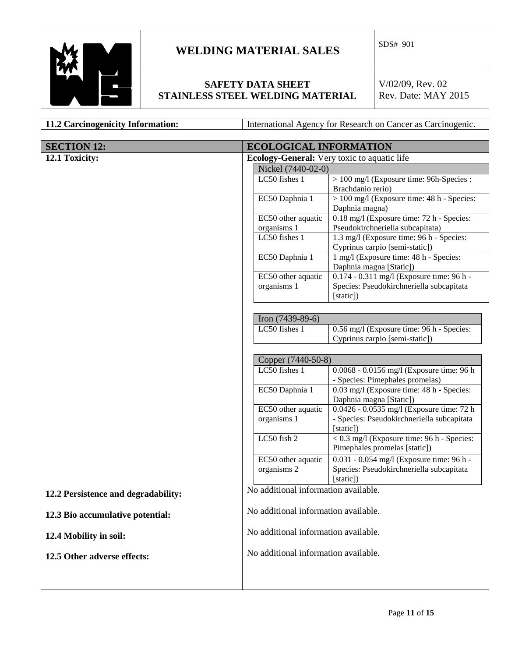

### **SAFETY DATA SHEET STAINLESS STEEL WELDING MATERIAL**

| 11.2 Carcinogenicity Information:   | International Agency for Research on Cancer as Carcinogenic.                                 |                                                                                                    |  |
|-------------------------------------|----------------------------------------------------------------------------------------------|----------------------------------------------------------------------------------------------------|--|
|                                     |                                                                                              |                                                                                                    |  |
| <b>SECTION 12:</b>                  | <b>ECOLOGICAL INFORMATION</b>                                                                |                                                                                                    |  |
| 12.1 Toxicity:                      | <b>Ecology-General:</b> Very toxic to aquatic life                                           |                                                                                                    |  |
|                                     | Nickel (7440-02-0)                                                                           |                                                                                                    |  |
|                                     | LC50 fishes 1                                                                                | > 100 mg/l (Exposure time: 96h-Species :<br>Brachdanio rerio)                                      |  |
|                                     | EC50 Daphnia 1                                                                               | > 100 mg/l (Exposure time: 48 h - Species:<br>Daphnia magna)                                       |  |
|                                     | EC50 other aquatic<br>organisms 1                                                            | 0.18 mg/l (Exposure time: 72 h - Species:<br>Pseudokirchneriella subcapitata)                      |  |
|                                     | LC50 fishes 1                                                                                | 1.3 mg/l (Exposure time: 96 h - Species:<br>Cyprinus carpio [semi-static])                         |  |
|                                     | EC50 Daphnia 1                                                                               | 1 mg/l (Exposure time: 48 h - Species:<br>Daphnia magna [Static])                                  |  |
|                                     | EC50 other aquatic<br>organisms 1                                                            | 0.174 - 0.311 mg/l (Exposure time: 96 h -<br>Species: Pseudokirchneriella subcapitata<br>[static]) |  |
|                                     | Iron $(7439-89-6)$                                                                           |                                                                                                    |  |
|                                     | LC50 fishes 1<br>0.56 mg/l (Exposure time: 96 h - Species:<br>Cyprinus carpio [semi-static]) |                                                                                                    |  |
|                                     | Copper (7440-50-8)                                                                           |                                                                                                    |  |
|                                     | LC50 fishes 1                                                                                | 0.0068 - 0.0156 mg/l (Exposure time: 96 h<br>- Species: Pimephales promelas)                       |  |
|                                     | EC50 Daphnia 1<br>0.03 mg/l (Exposure time: 48 h - Species:<br>Daphnia magna [Static])       |                                                                                                    |  |
|                                     | 0.0426 - 0.0535 mg/l (Exposure time: 72 h<br>EC50 other aquatic                              |                                                                                                    |  |
|                                     | organisms 1                                                                                  | - Species: Pseudokirchneriella subcapitata<br>[static])                                            |  |
|                                     | LC50 fish 2                                                                                  | $\sqrt{6.3}$ mg/l (Exposure time: 96 h - Species:<br>Pimephales promelas [static])                 |  |
|                                     | EC50 other aquatic<br>organisms 2                                                            | 0.031 - 0.054 mg/l (Exposure time: 96 h -<br>Species: Pseudokirchneriella subcapitata<br>[static]) |  |
| 12.2 Persistence and degradability: | No additional information available.                                                         |                                                                                                    |  |
| 12.3 Bio accumulative potential:    | No additional information available.                                                         |                                                                                                    |  |
| 12.4 Mobility in soil:              | No additional information available.                                                         |                                                                                                    |  |
| 12.5 Other adverse effects:         | No additional information available.                                                         |                                                                                                    |  |
|                                     |                                                                                              |                                                                                                    |  |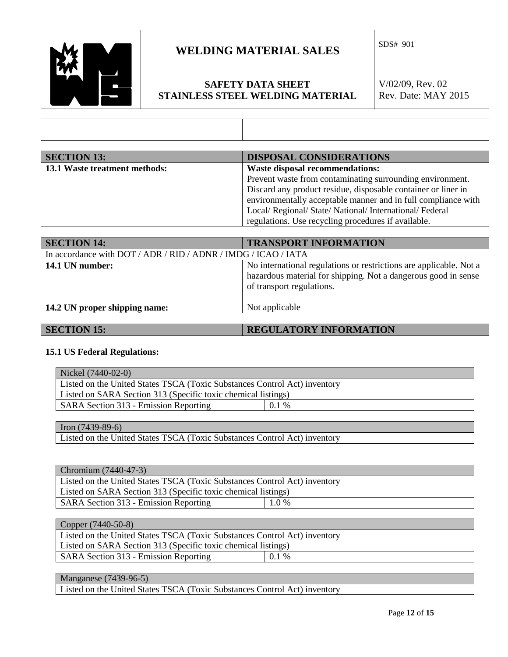

### **WELDING MATERIAL SALES**  $\begin{bmatrix}$  SDS# 901

### **SAFETY DATA SHEET STAINLESS STEEL WELDING MATERIAL**

V/02/09, Rev. 02 Rev. Date: MAY 2015

| <b>SECTION 13:</b>                                             | <b>DISPOSAL CONSIDERATIONS</b>                                |
|----------------------------------------------------------------|---------------------------------------------------------------|
| <b>13.1 Waste treatment methods:</b>                           | <b>Waste disposal recommendations:</b>                        |
|                                                                | Prevent waste from contaminating surrounding environment.     |
|                                                                | Discard any product residue, disposable container or liner in |
|                                                                | environmentally acceptable manner and in full compliance with |
|                                                                | Local/ Regional/ State/ National/ International/ Federal      |
|                                                                | regulations. Use recycling procedures if available.           |
|                                                                |                                                               |
| <b>SECTION 14:</b>                                             | <b>TRANSPORT INFORMATION</b>                                  |
| In accordance with DOT / ADR / RID / ADNR / IMDG / ICAO / IATA |                                                               |

| In accordance with DOT / ADR / RID / ADNR / IMDG / ICAO / IATA |                                                                                                                                                                   |
|----------------------------------------------------------------|-------------------------------------------------------------------------------------------------------------------------------------------------------------------|
| 14.1 UN number:                                                | No international regulations or restrictions are applicable. Not a<br>hazardous material for shipping. Not a dangerous good in sense<br>of transport regulations. |
| 14.2 UN proper shipping name:                                  | Not applicable                                                                                                                                                    |

#### **SECTION 15: REGULATORY INFORMATION**

#### **15.1 US Federal Regulations:**

| Nickel (7440-02-0)                                                        |  |
|---------------------------------------------------------------------------|--|
| Listed on the United States TSCA (Toxic Substances Control Act) inventory |  |
| Listed on SARA Section 313 (Specific toxic chemical listings)             |  |
| SARA Section 313 - Emission Reporting<br>0.1%                             |  |
|                                                                           |  |
| Iron $(7439-89-6)$                                                        |  |
| Listed on the United States TSCA (Toxic Substances Control Act) inventory |  |
|                                                                           |  |
|                                                                           |  |
| Chromium (7440-47-3)                                                      |  |
| Listed on the United States TSCA (Toxic Substances Control Act) inventory |  |
| Listed on SARA Section 313 (Specific toxic chemical listings)             |  |
| SARA Section 313 - Emission Reporting<br>$1.0\%$                          |  |
|                                                                           |  |

Copper (7440-50-8)

| Listed on the United States TSCA (Toxic Substances Control Act) inventory |       |  |
|---------------------------------------------------------------------------|-------|--|
| Listed on SARA Section 313 (Specific toxic chemical listings)             |       |  |
| SARA Section 313 - Emission Reporting                                     | 10.1% |  |

#### Manganese (7439-96-5)

Listed on the United States TSCA (Toxic Substances Control Act) inventory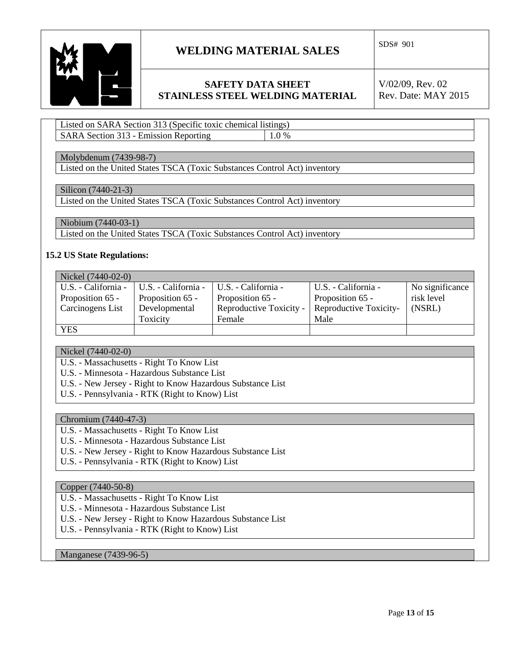

### **SAFETY DATA SHEET STAINLESS STEEL WELDING MATERIAL**

V/02/09, Rev. 02 Rev. Date: MAY 2015

Listed on SARA Section 313 (Specific toxic chemical listings) SARA Section 313 - Emission Reporting 1.0 %

#### Molybdenum (7439-98-7)

Listed on the United States TSCA (Toxic Substances Control Act) inventory

#### Silicon (7440-21-3)

Listed on the United States TSCA (Toxic Substances Control Act) inventory

Niobium (7440-03-1)

Listed on the United States TSCA (Toxic Substances Control Act) inventory

#### **15.2 US State Regulations:**

| Nickel (7440-02-0)  |                     |                         |                        |                 |
|---------------------|---------------------|-------------------------|------------------------|-----------------|
| U.S. - California - | U.S. - California - | U.S. - California -     | U.S. - California -    | No significance |
| Proposition 65 -    | Proposition 65 -    | Proposition 65 -        | Proposition 65 -       | risk level      |
| Carcinogens List    | Developmental       | Reproductive Toxicity - | Reproductive Toxicity- | (NSRL)          |
|                     | Toxicity            | Female                  | Male                   |                 |
| <b>YES</b>          |                     |                         |                        |                 |

Nickel (7440-02-0)

U.S. - Massachusetts - Right To Know List

U.S. - Minnesota - Hazardous Substance List

- U.S. New Jersey Right to Know Hazardous Substance List
- U.S. Pennsylvania RTK (Right to Know) List

#### Chromium (7440-47-3)

- U.S. Massachusetts Right To Know List
- U.S. Minnesota Hazardous Substance List
- U.S. New Jersey Right to Know Hazardous Substance List
- U.S. Pennsylvania RTK (Right to Know) List

#### Copper (7440-50-8)

- U.S. Massachusetts Right To Know List
- U.S. Minnesota Hazardous Substance List
- U.S. New Jersey Right to Know Hazardous Substance List
- U.S. Pennsylvania RTK (Right to Know) List

Manganese (7439-96-5)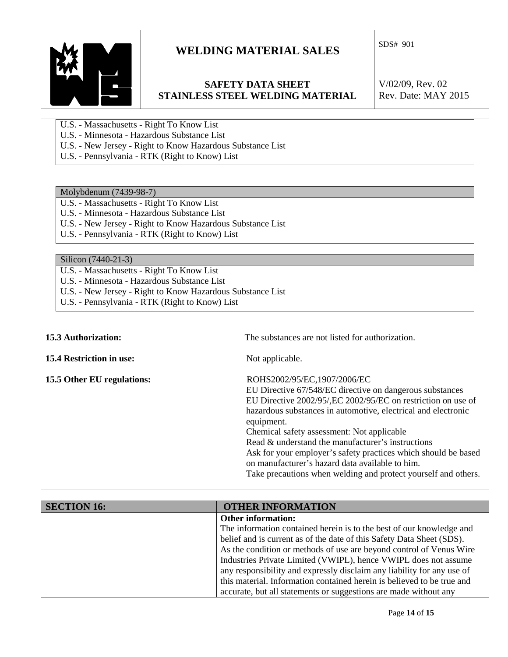

### **SAFETY DATA SHEET STAINLESS STEEL WELDING MATERIAL**

V/02/09, Rev. 02 Rev. Date: MAY 2015

- U.S. Massachusetts Right To Know List
- U.S. Minnesota Hazardous Substance List
- U.S. New Jersey Right to Know Hazardous Substance List
- U.S. Pennsylvania RTK (Right to Know) List

#### Molybdenum (7439-98-7)

- U.S. Massachusetts Right To Know List
- U.S. Minnesota Hazardous Substance List
- U.S. New Jersey Right to Know Hazardous Substance List
- U.S. Pennsylvania RTK (Right to Know) List

#### Silicon (7440-21-3)

- U.S. Massachusetts Right To Know List
- U.S. Minnesota Hazardous Substance List
- U.S. New Jersey Right to Know Hazardous Substance List
- U.S. Pennsylvania RTK (Right to Know) List

**15.4 Restriction in use:** Not applicable.

**15.3 Authorization:** The substances are not listed for authorization.

**15.5 Other EU regulations:** ROHS2002/95/EC,1907/2006/EC

 EU Directive 67/548/EC directive on dangerous substances EU Directive 2002/95/,EC 2002/95/EC on restriction on use of hazardous substances in automotive, electrical and electronic equipment.

 Chemical safety assessment: Not applicable Read & understand the manufacturer's instructions Ask for your employer's safety practices which should be based on manufacturer's hazard data available to him.

Take precautions when welding and protect yourself and others.

| <b>SECTION 16:</b> | <b>OTHER INFORMATION</b>                                               |
|--------------------|------------------------------------------------------------------------|
|                    | <b>Other information:</b>                                              |
|                    | The information contained herein is to the best of our knowledge and   |
|                    | belief and is current as of the date of this Safety Data Sheet (SDS).  |
|                    | As the condition or methods of use are beyond control of Venus Wire    |
|                    | Industries Private Limited (VWIPL), hence VWIPL does not assume        |
|                    | any responsibility and expressly disclaim any liability for any use of |
|                    | this material. Information contained herein is believed to be true and |
|                    | accurate, but all statements or suggestions are made without any       |